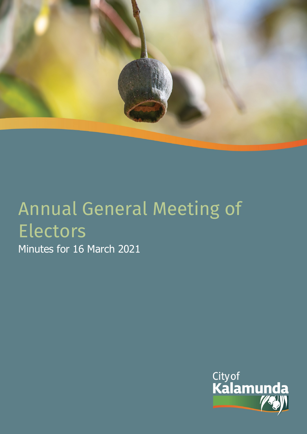

# Annual General Meeting of Electors

Minutes for 16 March 2021

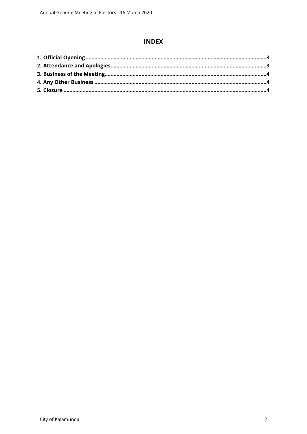# **INDEX**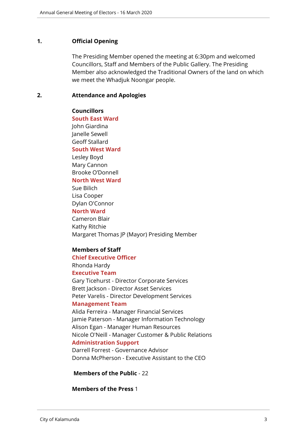## <span id="page-2-0"></span>**1. Official Opening**

The Presiding Member opened the meeting at 6:30pm and welcomed Councillors, Staff and Members of the Public Gallery. The Presiding Member also acknowledged the Traditional Owners of the land on which we meet the Whadjuk Noongar people.

### <span id="page-2-1"></span>**2. Attendance and Apologies**

### **Councillors**

**South East Ward**  John Giardina Janelle Sewell Geoff Stallard

# **South West Ward**

Lesley Boyd Mary Cannon Brooke O'Donnell **North West Ward**

Sue Bilich Lisa Cooper Dylan O'Connor

# **North Ward**

Cameron Blair Kathy Ritchie Margaret Thomas JP (Mayor) Presiding Member

# **Members of Staff**

#### **Chief Executive Officer**

Rhonda Hardy **Executive Team**

Gary Ticehurst - Director Corporate Services Brett Jackson - Director Asset Services Peter Varelis - Director Development Services

#### **Management Team**

Alida Ferreira - Manager Financial Services Jamie Paterson - Manager Information Technology Alison Egan - Manager Human Resources Nicole O'Neill - Manager Customer & Public Relations **Administration Support**

Darrell Forrest - Governance Advisor Donna McPherson - Executive Assistant to the CEO

# **Members of the Public** - 22

#### **Members of the Press** 1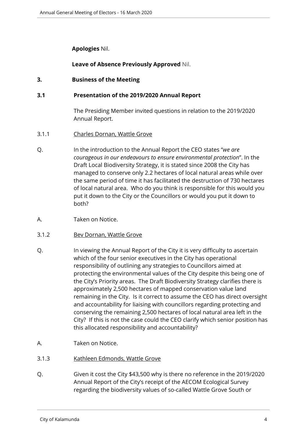# **Apologies** Nil.

# **Leave of Absence Previously Approved** Nil.

# <span id="page-3-0"></span>**3. Business of the Meeting**

# **3.1 Presentation of the 2019/2020 Annual Report**

The Presiding Member invited questions in relation to the 2019/2020 Annual Report.

- 3.1.1 Charles Dornan, Wattle Grove
- Q. In the introduction to the Annual Report the CEO states "*we are courageous in our endeavours to ensure environmental protection*". In the Draft Local Biodiversity Strategy, it is stated since 2008 the City has managed to conserve only 2.2 hectares of local natural areas while over the same period of time it has facilitated the destruction of 730 hectares of local natural area. Who do you think is responsible for this would you put it down to the City or the Councillors or would you put it down to both?
- A. Taken on Notice.
- 3.1.2 Bev Dornan, Wattle Grove
- Q. In viewing the Annual Report of the City it is very difficulty to ascertain which of the four senior executives in the City has operational responsibility of outlining any strategies to Councillors aimed at protecting the environmental values of the City despite this being one of the City's Priority areas. The Draft Biodiversity Strategy clarifies there is approximately 2,500 hectares of mapped conservation value land remaining in the City. Is it correct to assume the CEO has direct oversight and accountability for liaising with councillors regarding protecting and conserving the remaining 2,500 hectares of local natural area left in the City? If this is not the case could the CEO clarify which senior position has this allocated responsibility and accountability?
- A. Taken on Notice.
- 3.1.3 Kathleen Edmonds, Wattle Grove
- Q. Given it cost the City \$43,500 why is there no reference in the 2019/2020 Annual Report of the City's receipt of the AECOM Ecological Survey regarding the biodiversity values of so-called Wattle Grove South or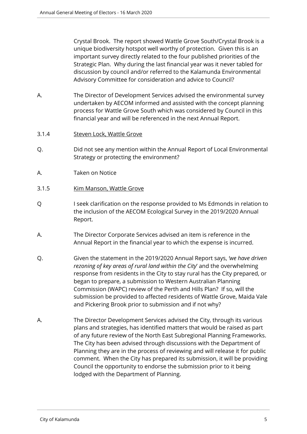Crystal Brook. The report showed Wattle Grove South/Crystal Brook is a unique biodiversity hotspot well worthy of protection. Given this is an important survey directly related to the four published priorities of the Strategic Plan. Why during the last financial year was it never tabled for discussion by council and/or referred to the Kalamunda Environmental Advisory Committee for consideration and advice to Council?

- A. The Director of Development Services advised the environmental survey undertaken by AECOM informed and assisted with the concept planning process for Wattle Grove South which was considered by Council in this financial year and will be referenced in the next Annual Report.
- 3.1.4 Steven Lock, Wattle Grove
- Q. Did not see any mention within the Annual Report of Local Environmental Strategy or protecting the environment?
- A. Taken on Notice
- 3.1.5 Kim Manson, Wattle Grove
- Q I seek clarification on the response provided to Ms Edmonds in relation to the inclusion of the AECOM Ecological Survey in the 2019/2020 Annual Report.
- A. The Director Corporate Services advised an item is reference in the Annual Report in the financial year to which the expense is incurred.
- Q. Given the statement in the 2019/2020 Annual Report says, *'we have driven rezoning of key areas of rural land within the City*' and the overwhelming response from residents in the City to stay rural has the City prepared, or began to prepare, a submission to Western Australian Planning Commission (WAPC) review of the Perth and Hills Plan? If so, will the submission be provided to affected residents of Wattle Grove, Maida Vale and Pickering Brook prior to submission and if not why?
- A. The Director Development Services advised the City, through its various plans and strategies, has identified matters that would be raised as part of any future review of the North East Subregional Planning Frameworks. The City has been advised through discussions with the Department of Planning they are in the process of reviewing and will release it for public comment. When the City has prepared its submission, it will be providing Council the opportunity to endorse the submission prior to it being lodged with the Department of Planning.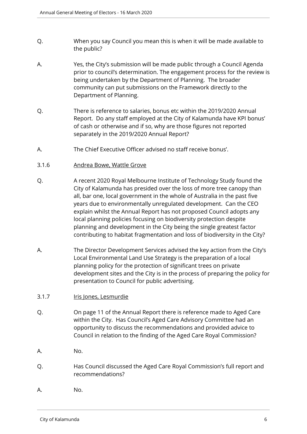- Q. When you say Council you mean this is when it will be made available to the public?
- A. Yes, the City's submission will be made public through a Council Agenda prior to council's determination. The engagement process for the review is being undertaken by the Department of Planning. The broader community can put submissions on the Framework directly to the Department of Planning.
- Q. There is reference to salaries, bonus etc within the 2019/2020 Annual Report. Do any staff employed at the City of Kalamunda have KPI bonus' of cash or otherwise and if so, why are those figures not reported separately in the 2019/2020 Annual Report?
- A. The Chief Executive Officer advised no staff receive bonus'.
- 3.1.6 Andrea Bowe, Wattle Grove
- Q. A recent 2020 Royal Melbourne Institute of Technology Study found the City of Kalamunda has presided over the loss of more tree canopy than all, bar one, local government in the whole of Australia in the past five years due to environmentally unregulated development. Can the CEO explain whilst the Annual Report has not proposed Council adopts any local planning policies focusing on biodiversity protection despite planning and development in the City being the single greatest factor contributing to habitat fragmentation and loss of biodiversity in the City?
- A. The Director Development Services advised the key action from the City's Local Environmental Land Use Strategy is the preparation of a local planning policy for the protection of significant trees on private development sites and the City is in the process of preparing the policy for presentation to Council for public advertising.
- 3.1.7 Iris Jones, Lesmurdie
- Q. On page 11 of the Annual Report there is reference made to Aged Care within the City. Has Council's Aged Care Advisory Committee had an opportunity to discuss the recommendations and provided advice to Council in relation to the finding of the Aged Care Royal Commission?
- A. No.
- Q. Has Council discussed the Aged Care Royal Commission's full report and recommendations?
- A. No.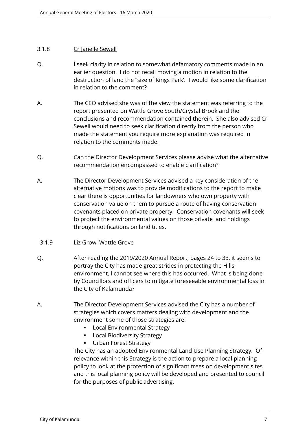# 3.1.8 Cr Janelle Sewell

- Q. I seek clarity in relation to somewhat defamatory comments made in an earlier question. I do not recall moving a motion in relation to the destruction of land the "size of Kings Park'. I would like some clarification in relation to the comment?
- A. The CEO advised she was of the view the statement was referring to the report presented on Wattle Grove South/Crystal Brook and the conclusions and recommendation contained therein. She also advised Cr Sewell would need to seek clarification directly from the person who made the statement you require more explanation was required in relation to the comments made.
- Q. Can the Director Development Services please advise what the alternative recommendation encompassed to enable clarification?
- A. The Director Development Services advised a key consideration of the alternative motions was to provide modifications to the report to make clear there is opportunities for landowners who own property with conservation value on them to pursue a route of having conservation covenants placed on private property. Conservation covenants will seek to protect the environmental values on those private land holdings through notifications on land titles.

# 3.1.9 Liz Grow, Wattle Grove

- Q. After reading the 2019/2020 Annual Report, pages 24 to 33, it seems to portray the City has made great strides in protecting the Hills environment, I cannot see where this has occurred. What is being done by Councillors and officers to mitigate foreseeable environmental loss in the City of Kalamunda?
- A. The Director Development Services advised the City has a number of strategies which covers matters dealing with development and the environment some of those strategies are:
	- **-** Local Environmental Strategy
	- **Local Biodiversity Strategy**
	- **Urban Forest Strategy**

The City has an adopted Environmental Land Use Planning Strategy. Of relevance within this Strategy is the action to prepare a local planning policy to look at the protection of significant trees on development sites and this local planning policy will be developed and presented to council for the purposes of public advertising.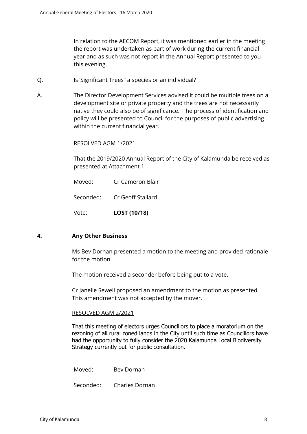In relation to the AECOM Report, it was mentioned earlier in the meeting the report was undertaken as part of work during the current financial year and as such was not report in the Annual Report presented to you this evening.

- Q. Is 'Significant Trees" a species or an individual?
- A. The Director Development Services advised it could be multiple trees on a development site or private property and the trees are not necessarily native they could also be of significance. The process of identification and policy will be presented to Council for the purposes of public advertising within the current financial year.

#### RESOLVED AGM 1/2021

That the 2019/2020 Annual Report of the City of Kalamunda be received as presented at Attachment 1.

- Moved: Cr Cameron Blair
- Seconded: Cr Geoff Stallard

Vote: **LOST (10/18)**

#### <span id="page-7-0"></span>**4. Any Other Business**

Ms Bev Dornan presented a motion to the meeting and provided rationale for the motion.

The motion received a seconder before being put to a vote.

Cr Janelle Sewell proposed an amendment to the motion as presented. This amendment was not accepted by the mover.

#### RESOLVED AGM 2/2021

That this meeting of electors urges Councillors to place a moratorium on the rezoning of all rural zoned lands in the City until such time as Councillors have had the opportunity to fully consider the 2020 Kalamunda Local Biodiversity Strategy currently out for public consultation.

Moved: Bev Dornan

Seconded: Charles Dornan